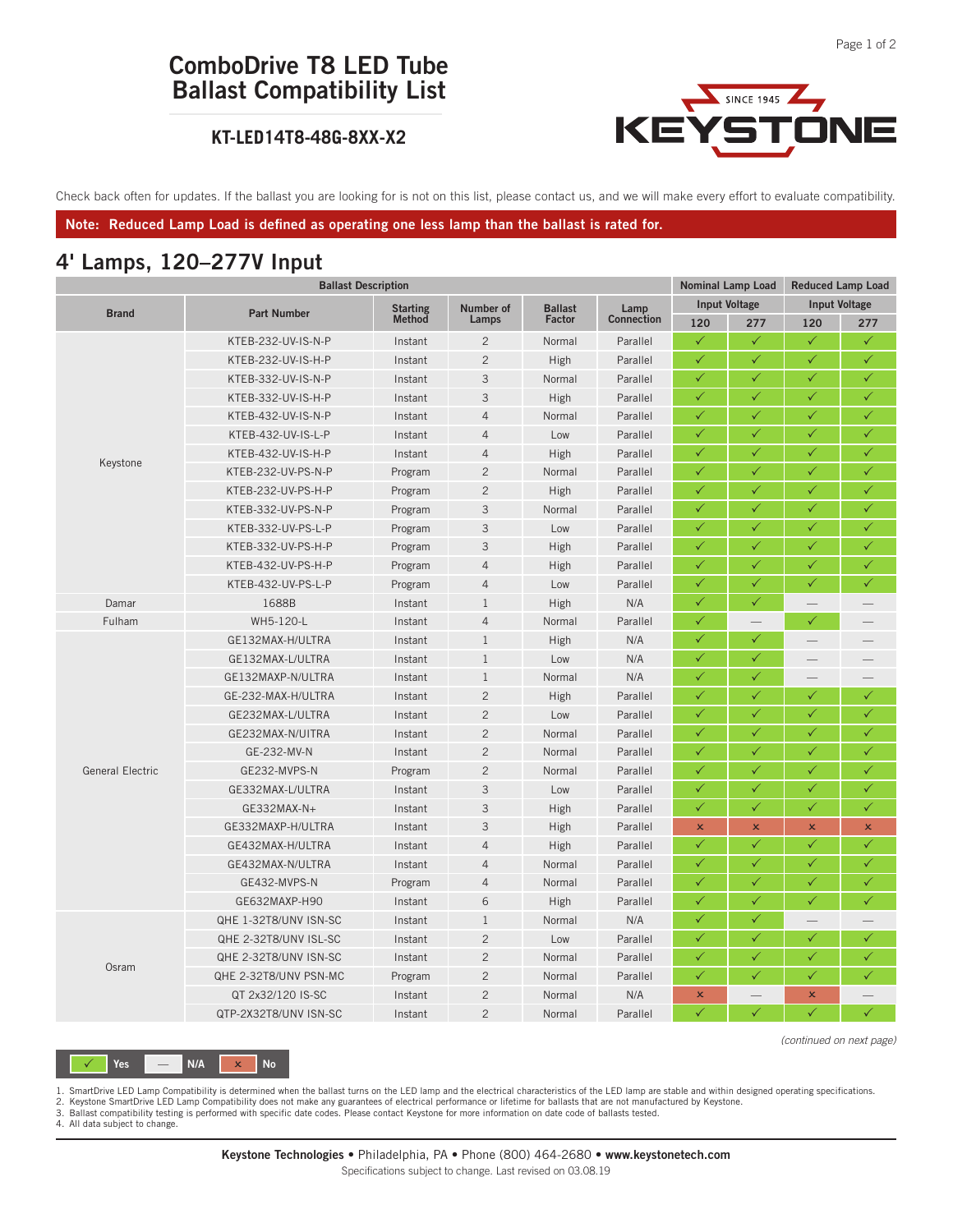# **ComboDrive T8 LED Tube Ballast Compatibility List**

#### **KT-LED14T8-48G-8XX-X2**



Check back often for updates. If the ballast you are looking for is not on this list, please contact us, and we will make every effort to evaluate compatibility.

**Note: Reduced Lamp Load is defined as operating one less lamp than the ballast is rated for.**

#### **4' Lamps, 120–277V Input**

|                         | <b>Ballast Description</b> |                 |                |                |                    | Nominal Lamp Load    |                | <b>Reduced Lamp Load</b>                                                                                                                                                                                                                                                  |                |
|-------------------------|----------------------------|-----------------|----------------|----------------|--------------------|----------------------|----------------|---------------------------------------------------------------------------------------------------------------------------------------------------------------------------------------------------------------------------------------------------------------------------|----------------|
| <b>Brand</b>            |                            | <b>Starting</b> | Number of      | <b>Ballast</b> | Lamp<br>Connection | <b>Input Voltage</b> |                | <b>Input Voltage</b>                                                                                                                                                                                                                                                      |                |
|                         | <b>Part Number</b>         | Method          | Lamps          | Factor         |                    | 120                  | 277            | 120                                                                                                                                                                                                                                                                       | 277            |
|                         | KTEB-232-UV-IS-N-P         | Instant         | $\overline{c}$ | Normal         | Parallel           | $\checkmark$         | $\checkmark$   | $\checkmark$                                                                                                                                                                                                                                                              | $\checkmark$   |
|                         | KTEB-232-UV-IS-H-P         | Instant         | $\overline{c}$ | High           | Parallel           | $\checkmark$         | $\checkmark$   | $\checkmark$                                                                                                                                                                                                                                                              | ✓              |
|                         | KTEB-332-UV-IS-N-P         | Instant         | 3              | Normal         | Parallel           | $\checkmark$         | $\checkmark$   | ✓                                                                                                                                                                                                                                                                         | $\checkmark$   |
|                         | KTEB-332-UV-IS-H-P         | Instant         | 3              | High           | Parallel           | $\checkmark$         | ✓              | ✓                                                                                                                                                                                                                                                                         | $\checkmark$   |
| Keystone                | KTEB-432-UV-IS-N-P         | Instant         | $\overline{4}$ | Normal         | Parallel           | $\checkmark$         | $\checkmark$   | $\checkmark$                                                                                                                                                                                                                                                              | $\checkmark$   |
|                         | KTEB-432-UV-IS-L-P         | Instant         | $\overline{4}$ | Low            | Parallel           | $\checkmark$         | ✓              | $\checkmark$                                                                                                                                                                                                                                                              | $\checkmark$   |
|                         | KTEB-432-UV-IS-H-P         | Instant         | $\overline{4}$ | High           | Parallel           | $\checkmark$         | $\checkmark$   | $\checkmark$                                                                                                                                                                                                                                                              | $\checkmark$   |
|                         | KTEB-232-UV-PS-N-P         | Program         | $\overline{c}$ | Normal         | Parallel           | $\checkmark$         | $\checkmark$   | $\checkmark$                                                                                                                                                                                                                                                              | $\checkmark$   |
|                         | KTEB-232-UV-PS-H-P         | Program         | $\overline{c}$ | High           | Parallel           | ✓                    | ✓              | ✓<br>✓<br>$\checkmark$<br>$\checkmark$<br>$\checkmark$<br>$\checkmark$<br>$\overline{\phantom{0}}$<br>$\checkmark$<br>$\checkmark$<br>$\checkmark$<br>$\checkmark$<br>$\checkmark$<br>$\checkmark$<br>✓<br>$\checkmark$<br>$\pmb{\times}$<br>$\checkmark$<br>$\checkmark$ | ✓              |
|                         | KTEB-332-UV-PS-N-P         | Program         | 3              | Normal         | Parallel           | $\checkmark$         | ✓              |                                                                                                                                                                                                                                                                           | $\checkmark$   |
|                         | KTEB-332-UV-PS-L-P         | Program         | 3              | Low            | Parallel           | $\checkmark$         | $\checkmark$   |                                                                                                                                                                                                                                                                           | $\checkmark$   |
|                         | KTEB-332-UV-PS-H-P         | Program         | 3              | High           | Parallel           | $\checkmark$         | $\checkmark$   |                                                                                                                                                                                                                                                                           | $\checkmark$   |
|                         | KTEB-432-UV-PS-H-P         | Program         | $\overline{4}$ | High           | Parallel           | $\checkmark$         | $\checkmark$   |                                                                                                                                                                                                                                                                           | $\checkmark$   |
|                         | KTEB-432-UV-PS-L-P         | Program         | $\overline{4}$ | Low            | Parallel           | $\checkmark$         | $\checkmark$   |                                                                                                                                                                                                                                                                           | $\checkmark$   |
| Damar                   | 1688B                      | Instant         | $\,1$          | High           | N/A                | $\checkmark$         | $\checkmark$   |                                                                                                                                                                                                                                                                           |                |
| Fulham                  | WH5-120-L                  | Instant         | $\overline{4}$ | Normal         | Parallel           | ✓                    |                |                                                                                                                                                                                                                                                                           |                |
|                         | GE132MAX-H/ULTRA           | Instant         | $\mathbf{1}$   | High           | N/A                | ✓                    | $\checkmark$   |                                                                                                                                                                                                                                                                           |                |
|                         | GE132MAX-L/ULTRA           | Instant         | $\mathbf{1}$   | Low            | N/A                | $\checkmark$         | $\checkmark$   |                                                                                                                                                                                                                                                                           |                |
|                         | GE132MAXP-N/ULTRA          | Instant         | $\mathbf{1}$   | Normal         | N/A                | $\checkmark$         | ✓              |                                                                                                                                                                                                                                                                           |                |
|                         | GE-232-MAX-H/ULTRA         | Instant         | $\overline{c}$ | High           | Parallel           | $\checkmark$         | ✓              |                                                                                                                                                                                                                                                                           | $\checkmark$   |
|                         | GE232MAX-L/ULTRA           | Instant         | $\overline{c}$ | Low            | Parallel           | $\checkmark$         | $\checkmark$   |                                                                                                                                                                                                                                                                           | $\checkmark$   |
|                         | GE232MAX-N/UITRA           | Instant         | $\overline{c}$ | Normal         | Parallel           | $\checkmark$         | $\checkmark$   |                                                                                                                                                                                                                                                                           | $\checkmark$   |
|                         | GE-232-MV-N                | Instant         | $\overline{c}$ | Normal         | Parallel           | $\checkmark$         | ✓              | ✓<br>✓<br>$\checkmark$<br>$\checkmark$<br>$\checkmark$<br>$\pmb{\times}$<br>$\checkmark$                                                                                                                                                                                  | $\checkmark$   |
| <b>General Electric</b> | GE232-MVPS-N               | Program         | $\overline{c}$ | Normal         | Parallel           | ✓                    | ✓              |                                                                                                                                                                                                                                                                           | ✓              |
|                         | GE332MAX-L/ULTRA           | Instant         | 3              | Low            | Parallel           | $\checkmark$         | ✓              |                                                                                                                                                                                                                                                                           | $\checkmark$   |
|                         | GE332MAX-N+                | Instant         | 3              | High           | Parallel           | $\checkmark$         | $\checkmark$   |                                                                                                                                                                                                                                                                           | $\checkmark$   |
|                         | GE332MAXP-H/ULTRA          | Instant         | 3              | High           | Parallel           | $\pmb{\times}$       | $\pmb{\times}$ |                                                                                                                                                                                                                                                                           | $\pmb{\times}$ |
|                         | GE432MAX-H/ULTRA           | Instant         | $\overline{4}$ | High           | Parallel           | $\checkmark$         | $\checkmark$   |                                                                                                                                                                                                                                                                           | $\checkmark$   |
|                         | GE432MAX-N/ULTRA           | Instant         | $\overline{4}$ | Normal         | Parallel           | $\checkmark$         | $\checkmark$   |                                                                                                                                                                                                                                                                           | $\checkmark$   |
|                         | GE432-MVPS-N               | Program         | $\overline{4}$ | Normal         | Parallel           | $\checkmark$         | ✓              |                                                                                                                                                                                                                                                                           | ✓              |
|                         | GE632MAXP-H90              | Instant         | 6              | High           | Parallel           | $\checkmark$         | ✓              |                                                                                                                                                                                                                                                                           | ✓              |
|                         | QHE 1-32T8/UNV ISN-SC      | Instant         | $\mathbf{1}$   | Normal         | N/A                | ✓                    | ✓              |                                                                                                                                                                                                                                                                           |                |
|                         | QHE 2-32T8/UNV ISL-SC      | Instant         | $\overline{c}$ | Low            | Parallel           | $\checkmark$         | $\checkmark$   |                                                                                                                                                                                                                                                                           | $\checkmark$   |
|                         | QHE 2-32T8/UNV ISN-SC      | Instant         | $\overline{c}$ | Normal         | Parallel           | $\checkmark$         | $\checkmark$   |                                                                                                                                                                                                                                                                           | $\checkmark$   |
| Osram                   | QHE 2-32T8/UNV PSN-MC      | Program         | $\overline{c}$ | Normal         | Parallel           | $\checkmark$         | $\checkmark$   |                                                                                                                                                                                                                                                                           | $\checkmark$   |
|                         | QT 2x32/120 IS-SC          | Instant         | $\overline{c}$ | Normal         | N/A                | $\pmb{\times}$       |                |                                                                                                                                                                                                                                                                           |                |
|                         | QTP-2X32T8/UNV ISN-SC      | Instant         | $\overline{c}$ | Normal         | Parallel           | $\checkmark$         | $\checkmark$   |                                                                                                                                                                                                                                                                           | $\checkmark$   |

*(continued on next page)*

1. SmartDrive LED Lamp Compatibility is determined when the ballast turns on the LED lamp and the electrical characteristics of the LED lamp are stable and within designed operating specifications.

2. Keystone SmartDrive LED Lamp Compatibility does not make any guarantees of electrical performance or lifetime for ballasts that are not manufactured by Keystone.<br>3. Ballast compatibility testing is performed with specif

4. All data subject to change.

 $Yes$   $\overline{A}$   $\overline{B}$   $\overline{B}$   $N/A$   $\overline{X}$   $\overline{B}$   $N_0$ 

**Keystone Technologies** • Philadelphia, PA • Phone (800) 464-2680 • **www.keystonetech.com** Specifications subject to change. Last revised on 03.08.19